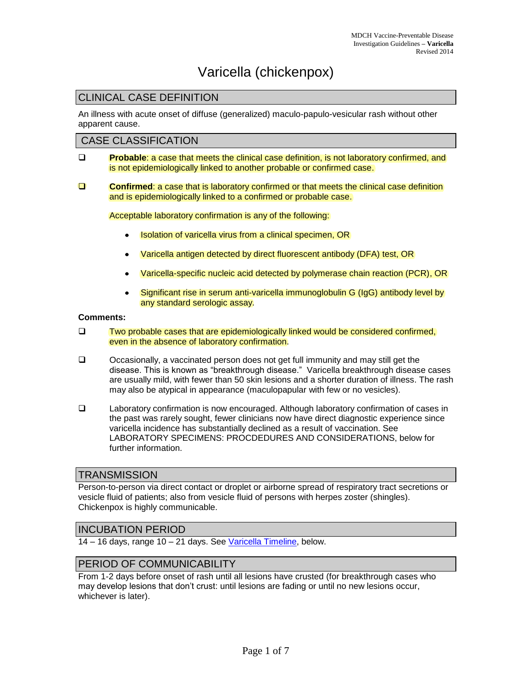# Varicella (chickenpox)

## CLINICAL CASE DEFINITION

An illness with acute onset of diffuse (generalized) maculo-papulo-vesicular rash without other apparent cause.

#### CASE CLASSIFICATION

- **Probable:** a case that meets the clinical case definition, is not laboratory confirmed, and is not epidemiologically linked to another probable or confirmed case.
- **Confirmed:** a case that is laboratory confirmed or that meets the clinical case definition and is epidemiologically linked to a confirmed or probable case.

Acceptable laboratory confirmation is any of the following:

- Isolation of varicella virus from a clinical specimen, OR
- Varicella antigen detected by direct fluorescent antibody (DFA) test, OR
- Varicella-specific nucleic acid detected by polymerase chain reaction (PCR), OR  $\bullet$
- Significant rise in serum anti-varicella immunoglobulin G (IgG) antibody level by  $\bullet$ any standard serologic assay.

#### **Comments:**

- $\square$  Two probable cases that are epidemiologically linked would be considered confirmed, even in the absence of laboratory confirmation.
- $\Box$  Occasionally, a vaccinated person does not get full immunity and may still get the disease. This is known as "breakthrough disease." Varicella breakthrough disease cases are usually mild, with fewer than 50 skin lesions and a shorter duration of illness. The rash may also be atypical in appearance (maculopapular with few or no vesicles).
- Laboratory confirmation is now encouraged. Although laboratory confirmation of cases in the past was rarely sought, fewer clinicians now have direct diagnostic experience since varicella incidence has substantially declined as a result of vaccination. See LABORATORY SPECIMENS: PROCDEDURES AND CONSIDERATIONS, below for further information.

### **TRANSMISSION**

Person-to-person via direct contact or droplet or airborne spread of respiratory tract secretions or vesicle fluid of patients; also from vesicle fluid of persons with herpes zoster (shingles). Chickenpox is highly communicable.

### INCUBATION PERIOD

14 – 16 days, range 10 – 21 days. See [Varicella Timeline,](#page-6-0) below.

## PERIOD OF COMMUNICABILITY

From 1-2 days before onset of rash until all lesions have crusted (for breakthrough cases who may develop lesions that don't crust: until lesions are fading or until no new lesions occur, whichever is later).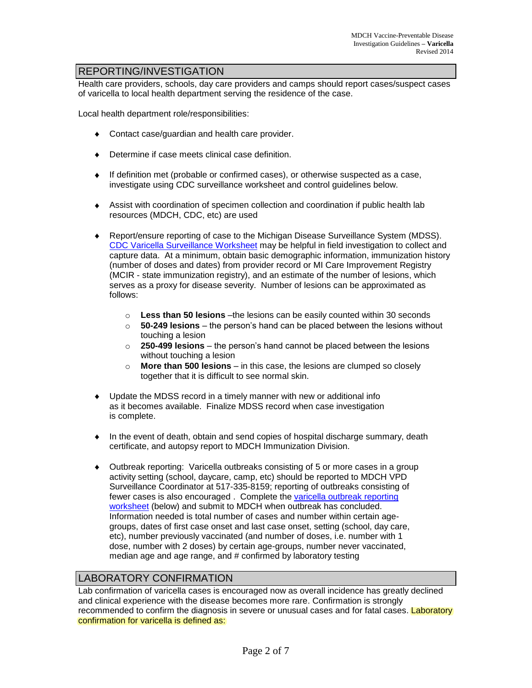## REPORTING/INVESTIGATION

Health care providers, schools, day care providers and camps should report cases/suspect cases of varicella to local health department serving the residence of the case.

Local health department role/responsibilities:

- Contact case/guardian and health care provider.
- ◆ Determine if case meets clinical case definition.
- $\bullet$  If definition met (probable or confirmed cases), or otherwise suspected as a case, investigate using CDC surveillance worksheet and control guidelines below.
- Assist with coordination of specimen collection and coordination if public health lab resources (MDCH, CDC, etc) are used
- Report/ensure reporting of case to the Michigan Disease Surveillance System (MDSS).  $\bullet$ CDC Varicella [Surveillance Worksheet](http://www.cdc.gov/vaccines/pubs/surv-manual/appx/appendix20-varicella-surv-wksht.pdf) may be helpful in field investigation to collect and capture data. At a minimum, obtain basic demographic information, immunization history (number of doses and dates) from provider record or MI Care Improvement Registry (MCIR - state immunization registry), and an estimate of the number of lesions, which serves as a proxy for disease severity. Number of lesions can be approximated as follows:
	- o **Less than 50 lesions** –the lesions can be easily counted within 30 seconds
	- o **50-249 lesions** the person's hand can be placed between the lesions without touching a lesion
	- o **250-499 lesions** the person's hand cannot be placed between the lesions without touching a lesion
	- o **More than 500 lesions** in this case, the lesions are clumped so closely together that it is difficult to see normal skin.
- Update the MDSS record in a timely manner with new or additional info as it becomes available. Finalize MDSS record when case investigation is complete.
- In the event of death, obtain and send copies of hospital discharge summary, death certificate, and autopsy report to MDCH Immunization Division.
- Outbreak reporting: Varicella outbreaks consisting of 5 or more cases in a group activity setting (school, daycare, camp, etc) should be reported to MDCH VPD Surveillance Coordinator at 517-335-8159; reporting of outbreaks consisting of fewer cases is also encouraged . Complete the varicella outbreak reporting [worksheet](#page-5-0) (below) and submit to MDCH when outbreak has concluded. Information needed is total number of cases and number within certain agegroups, dates of first case onset and last case onset, setting (school, day care, etc), number previously vaccinated (and number of doses, i.e. number with 1 dose, number with 2 doses) by certain age-groups, number never vaccinated, median age and age range, and # confirmed by laboratory testing

## LABORATORY CONFIRMATION

Lab confirmation of varicella cases is encouraged now as overall incidence has greatly declined and clinical experience with the disease becomes more rare. Confirmation is strongly recommended to confirm the diagnosis in severe or unusual cases and for fatal cases. Laboratory confirmation for varicella is defined as: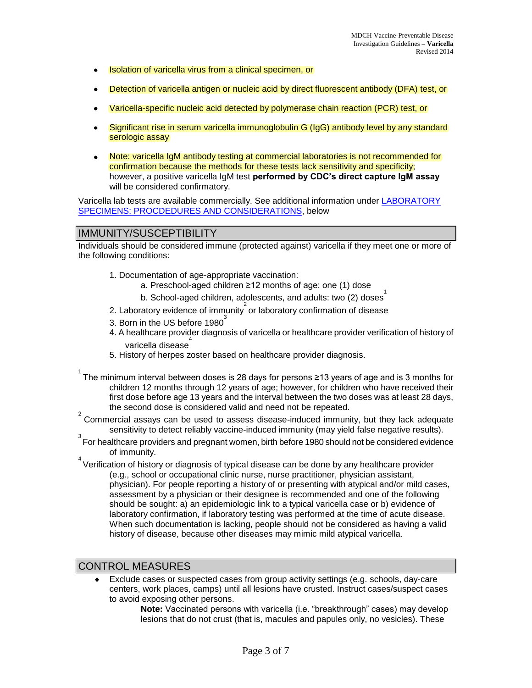- Isolation of varicella virus from a clinical specimen, or  $\bullet$
- Detection of varicella antigen or nucleic acid by direct fluorescent antibody (DFA) test, or
- Varicella-specific nucleic acid detected by polymerase chain reaction (PCR) test, or  $\bullet$
- Significant rise in serum varicella immunoglobulin G (IgG) antibody level by any standard  $\bullet$ serologic assay
- Note: varicella IgM antibody testing at commercial laboratories is not recommended for  $\bullet$ confirmation because the methods for these tests lack sensitivity and specificity; however, a positive varicella IgM test **performed by CDC's direct capture IgM assay** will be considered confirmatory.

Varicella lab tests are available commercially. See additional information under LABORATORY [SPECIMENS: PROCDEDURES AND CONSIDERATIONS,](#page-4-0) below

#### IMMUNITY/SUSCEPTIBILITY

Individuals should be considered immune (protected against) varicella if they meet one or more of the following conditions:

- 1. Documentation of age-appropriate vaccination:
	- a. Preschool-aged children ≥12 months of age: one (1) dose
	- b. School-aged children, adolescents, and adults: two (2) doses<sup>1</sup>
- 2. Laboratory evidence of immunity  $2 \text{ or laboratory confirmation of disease}$
- 3. Born in the US before  $1980^3$
- 4. A healthcare provider diagnosis of varicella or healthcare provider verification of history of varicella disease 4
- 5. History of herpes zoster based on healthcare provider diagnosis.
- $^{\rm 1}$ The minimum interval between doses is 28 days for persons ≥13 years of age and is 3 months for children 12 months through 12 years of age; however, for children who have received their first dose before age 13 years and the interval between the two doses was at least 28 days, the second dose is considered valid and need not be repeated.
- $2^{2}$  Commercial assays can be used to assess disease-induced immunity, but they lack adequate sensitivity to detect reliably vaccine-induced immunity (may yield false negative results).
- <sup>3</sup><br>For healthcare providers and pregnant women, birth before 1980 should not be considered evidence of immunity.
- $4\overline{ }$  Verification of history or diagnosis of typical disease can be done by any healthcare provider (e.g., school or occupational clinic nurse, nurse practitioner, physician assistant, physician). For people reporting a history of or presenting with atypical and/or mild cases, assessment by a physician or their designee is recommended and one of the following should be sought: a) an epidemiologic link to a typical varicella case or b) evidence of laboratory confirmation, if laboratory testing was performed at the time of acute disease. When such documentation is lacking, people should not be considered as having a valid history of disease, because other diseases may mimic mild atypical varicella.

## CONTROL MEASURES

Exclude cases or suspected cases from group activity settings (e.g. schools, day-care centers, work places, camps) until all lesions have crusted. Instruct cases/suspect cases to avoid exposing other persons.

**Note:** Vaccinated persons with varicella (i.e. "breakthrough" cases) may develop lesions that do not crust (that is, macules and papules only, no vesicles). These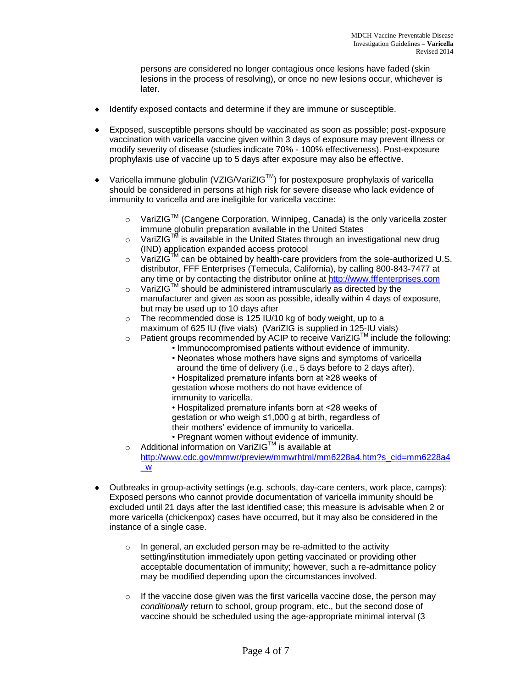persons are considered no longer contagious once lesions have faded (skin lesions in the process of resolving), or once no new lesions occur, whichever is later.

- Identify exposed contacts and determine if they are immune or susceptible.
- Exposed, susceptible persons should be vaccinated as soon as possible; post-exposure vaccination with varicella vaccine given within 3 days of exposure may prevent illness or modify severity of disease (studies indicate 70% - 100% effectiveness). Post-exposure prophylaxis use of vaccine up to 5 days after exposure may also be effective.
- Varicella immune globulin (VZIG/VariZIG™) for postexposure prophylaxis of varicella  $\bullet$ should be considered in persons at high risk for severe disease who lack evidence of immunity to varicella and are ineligible for varicella vaccine:
	- $\circ$  VariZIG<sup>TM</sup> (Cangene Corporation, Winnipeg, Canada) is the only varicella zoster immune globulin preparation available in the United States
	- $\circ$  VariZIG<sup>TM</sup> is available in the United States through an investigational new drug (IND) application expanded access protocol
	- $\circ$  VariZIG<sup>IM</sup> can be obtained by health-care providers from the sole-authorized U.S. distributor, FFF Enterprises (Temecula, California), by calling 800-843-7477 at any time or by contacting the distributor online at [http://www.fffenterprises.com](http://www.fffenterprises.com/)
	- $\circ$  VariZIG<sup>TM</sup> should be administered intramuscularly as directed by the manufacturer and given as soon as possible, ideally within 4 days of exposure, but may be used up to 10 days after
	- The recommended dose is 125 IU/10 kg of body weight, up to a maximum of 625 IU (five vials) (VariZIG is supplied in 125-IU vials)
	- $\circ$  Patient groups recommended by ACIP to receive VariZIG<sup>TM</sup> include the following:
		- Immunocompromised patients without evidence of immunity.
		- Neonates whose mothers have signs and symptoms of varicella around the time of delivery (i.e., 5 days before to 2 days after).
		- Hospitalized premature infants born at ≥28 weeks of gestation whose mothers do not have evidence of immunity to varicella.
		- Hospitalized premature infants born at <28 weeks of gestation or who weigh ≤1,000 g at birth, regardless of their mothers' evidence of immunity to varicella.
		- Pregnant women without evidence of immunity.
	- $\circ$  Additional information on VariZIG<sup>TM</sup> is available at [http://www.cdc.gov/mmwr/preview/mmwrhtml/mm6228a4.htm?s\\_cid=mm6228a4](http://www.cdc.gov/mmwr/preview/mmwrhtml/mm6228a4.htm?s_cid=mm6228a4_w) [\\_w](http://www.cdc.gov/mmwr/preview/mmwrhtml/mm6228a4.htm?s_cid=mm6228a4_w)
- Outbreaks in group-activity settings (e.g. schools, day-care centers, work place, camps): Exposed persons who cannot provide documentation of varicella immunity should be excluded until 21 days after the last identified case; this measure is advisable when 2 or more varicella (chickenpox) cases have occurred, but it may also be considered in the instance of a single case.
	- $\circ$  In general, an excluded person may be re-admitted to the activity setting/institution immediately upon getting vaccinated or providing other acceptable documentation of immunity; however, such a re-admittance policy may be modified depending upon the circumstances involved.
	- $\circ$  If the vaccine dose given was the first varicella vaccine dose, the person may *conditionally* return to school, group program, etc., but the second dose of vaccine should be scheduled using the age-appropriate minimal interval (3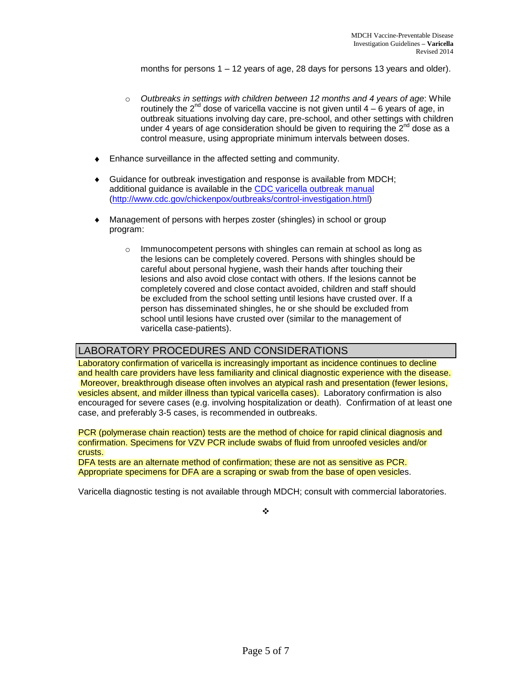months for persons  $1 - 12$  years of age, 28 days for persons 13 years and older).

- o *Outbreaks in settings with children between 12 months and 4 years of age*: While routinely the  $2^{nd}$  dose of varicella vaccine is not given until  $4 - 6$  years of age, in outbreak situations involving day care, pre-school, and other settings with children under 4 years of age consideration should be given to requiring the  $2^{nd}$  dose as a control measure, using appropriate minimum intervals between doses.
- Enhance surveillance in the affected setting and community.
- $\bullet$ Guidance for outbreak investigation and response is available from MDCH; additional guidance is available in the [CDC varicella outbreak manual](http://www.cdc.gov/chickenpox/outbreaks/control-investigation.html) [\(http://www.cdc.gov/chickenpox/outbreaks/control-investigation.html\)](http://www.cdc.gov/chickenpox/outbreaks/control-investigation.html)
- Management of persons with herpes zoster (shingles) in school or group program:
	- o Immunocompetent persons with shingles can remain at school as long as the lesions can be completely covered. Persons with shingles should be careful about personal hygiene, wash their hands after touching their lesions and also avoid close contact with others. If the lesions cannot be completely covered and close contact avoided, children and staff should be excluded from the school setting until lesions have crusted over. If a person has disseminated shingles, he or she should be excluded from school until lesions have crusted over (similar to the management of varicella case-patients).

### LABORATORY PROCEDURES AND CONSIDERATIONS

<span id="page-4-0"></span>Laboratory confirmation of varicella is increasingly important as incidence continues to decline and health care providers have less familiarity and clinical diagnostic experience with the disease. Moreover, breakthrough disease often involves an atypical rash and presentation (fewer lesions, vesicles absent, and milder illness than typical varicella cases). Laboratory confirmation is also encouraged for severe cases (e.g. involving hospitalization or death). Confirmation of at least one case, and preferably 3-5 cases, is recommended in outbreaks.

PCR (polymerase chain reaction) tests are the method of choice for rapid clinical diagnosis and confirmation. Specimens for VZV PCR include swabs of fluid from unroofed vesicles and/or crusts.

DFA tests are an alternate method of confirmation; these are not as sensitive as PCR. Appropriate specimens for DFA are a scraping or swab from the base of open vesicles.

Varicella diagnostic testing is not available through MDCH; consult with commercial laboratories.

 $\bullet^*_{\bullet}$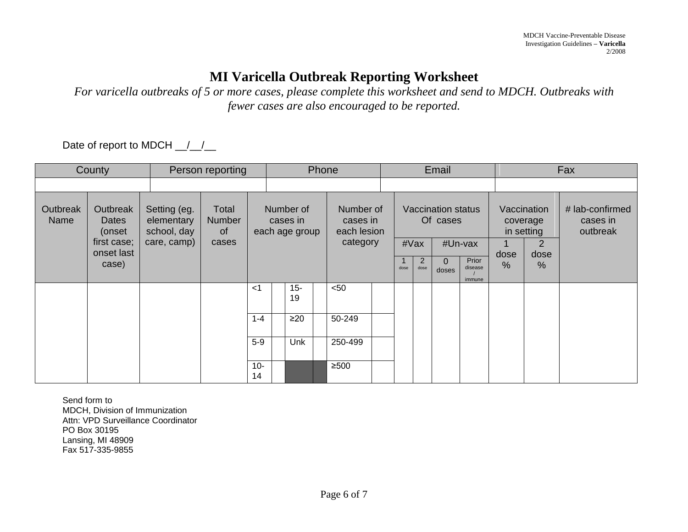## **MI Varicella Outbreak Reporting Worksheet**

*For varicella outbreaks of 5 or more cases, please complete this worksheet and send to MDCH. Outbreaks with fewer cases are also encouraged to be reported.*

Date of report to MDCH \_/\_/\_

<span id="page-5-0"></span>

| County           |                                                                   |                                                          | Person reporting                      |                                         | Phone        |      |                                                  |  | Email                                 |           |                   |                                       |                       | Fax                                     |  |  |
|------------------|-------------------------------------------------------------------|----------------------------------------------------------|---------------------------------------|-----------------------------------------|--------------|------|--------------------------------------------------|--|---------------------------------------|-----------|-------------------|---------------------------------------|-----------------------|-----------------------------------------|--|--|
|                  |                                                                   |                                                          |                                       |                                         |              |      |                                                  |  |                                       |           |                   |                                       |                       |                                         |  |  |
| Outbreak<br>Name | Outbreak<br>Dates<br>(onset<br>first case;<br>onset last<br>case) | Setting (eg.<br>elementary<br>school, day<br>care, camp) | Total<br><b>Number</b><br>of<br>cases | Number of<br>cases in<br>each age group |              |      | Number of<br>cases in<br>each lesion<br>category |  | <b>Vaccination status</b><br>Of cases |           |                   | Vaccination<br>coverage<br>in setting |                       | # lab-confirmed<br>cases in<br>outbreak |  |  |
|                  |                                                                   |                                                          |                                       |                                         |              | #Vax |                                                  |  |                                       | #Un-vax   |                   | 2                                     |                       |                                         |  |  |
|                  |                                                                   |                                                          |                                       |                                         |              |      |                                                  |  | dose                                  | 2<br>dose | $\Omega$<br>doses | Prior<br>disease<br>immune            | dose<br>$\frac{0}{0}$ | dose<br>%                               |  |  |
|                  |                                                                   |                                                          |                                       | $<$ 1                                   | $15 -$<br>19 |      | $50$                                             |  |                                       |           |                   |                                       |                       |                                         |  |  |
|                  |                                                                   |                                                          |                                       | $1 - 4$                                 | $\geq 20$    |      | 50-249                                           |  |                                       |           |                   |                                       |                       |                                         |  |  |
|                  |                                                                   |                                                          |                                       | $5-9$                                   | <b>Unk</b>   |      | 250-499                                          |  |                                       |           |                   |                                       |                       |                                         |  |  |
|                  |                                                                   |                                                          |                                       | $10 -$<br>14                            |              |      | $\geq 500$                                       |  |                                       |           |                   |                                       |                       |                                         |  |  |

Send form to MDCH, Division of Immunization Attn: VPD Surveillance Coordinator PO Box 30195 Lansing, MI 48909 Fax 517-335-9855